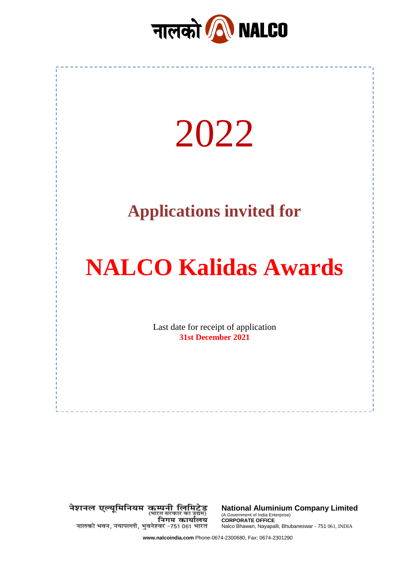



नेशनल एल्यूमिनियम कम्पनी लिमिटेड<br>(भारत सकार का उद्यम) निगम कार्यालय नालको भवन, नयापल्ली, भुवनेश्वर -751 061 भारत

**National Aluminium Company Limited** (A Government of India Enterprise) **CORPORATE OFFICE** Nalco Bhawan, Nayapalli, Bhubaneswar - 751 061, INDIA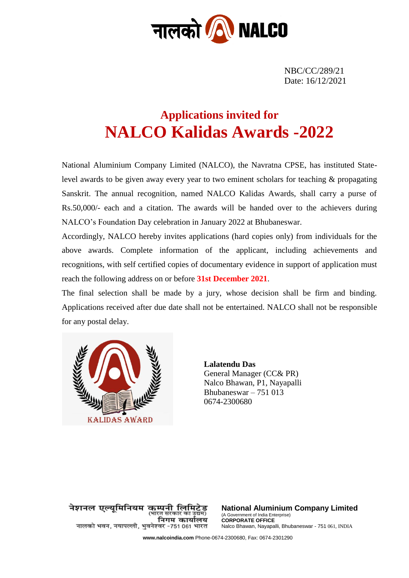

NBC/CC/289/21 Date: 16/12/2021

# **Applications invited for NALCO Kalidas Awards -2022**

National Aluminium Company Limited (NALCO), the Navratna CPSE, has instituted Statelevel awards to be given away every year to two eminent scholars for teaching & propagating Sanskrit. The annual recognition, named NALCO Kalidas Awards, shall carry a purse of Rs.50,000/- each and a citation. The awards will be handed over to the achievers during NALCO's Foundation Day celebration in January 2022 at Bhubaneswar.

Accordingly, NALCO hereby invites applications (hard copies only) from individuals for the above awards. Complete information of the applicant, including achievements and recognitions, with self certified copies of documentary evidence in support of application must reach the following address on or before **31st December 2021**.

The final selection shall be made by a jury, whose decision shall be firm and binding. Applications received after due date shall not be entertained. NALCO shall not be responsible for any postal delay.



**Lalatendu Das** General Manager (CC& PR) Nalco Bhawan, P1, Nayapalli Bhubaneswar – 751 013 0674-2300680

नेशनल एल्यमिनियम कम्पनी लिमिटेड (भारत सरकार का उद्यम) निगम कार्यालय नालको भवन, नयापल्ली, भुवनेश्वर -751 061 भारत

**National Aluminium Company Limited** (A Government of India Enterprise) **CORPORATE OFFICE** Nalco Bhawan, Nayapalli, Bhubaneswar - 751 061, INDIA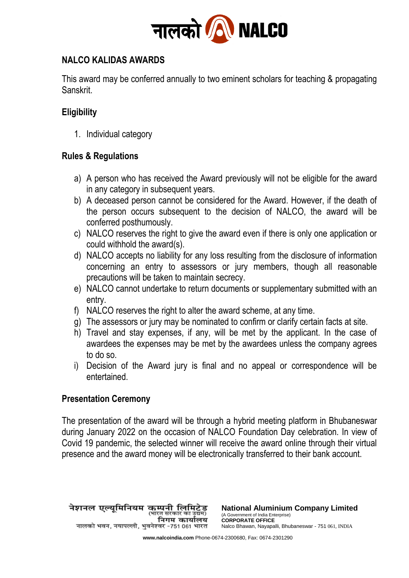

### **NALCO KALIDAS AWARDS**

This award may be conferred annually to two eminent scholars for teaching & propagating Sanskrit.

## **Eligibility**

1. Individual category

### **Rules & Regulations**

- a) A person who has received the Award previously will not be eligible for the award in any category in subsequent years.
- b) A deceased person cannot be considered for the Award. However, if the death of the person occurs subsequent to the decision of NALCO, the award will be conferred posthumously.
- c) NALCO reserves the right to give the award even if there is only one application or could withhold the award(s).
- d) NALCO accepts no liability for any loss resulting from the disclosure of information concerning an entry to assessors or jury members, though all reasonable precautions will be taken to maintain secrecy.
- e) NALCO cannot undertake to return documents or supplementary submitted with an entry.
- f) NALCO reserves the right to alter the award scheme, at any time.
- g) The assessors or jury may be nominated to confirm or clarify certain facts at site.
- h) Travel and stay expenses, if any, will be met by the applicant. In the case of awardees the expenses may be met by the awardees unless the company agrees to do so.
- i) Decision of the Award jury is final and no appeal or correspondence will be entertained.

#### **Presentation Ceremony**

The presentation of the award will be through a hybrid meeting platform in Bhubaneswar during January 2022 on the occasion of NALCO Foundation Day celebration. In view of Covid 19 pandemic, the selected winner will receive the award online through their virtual presence and the award money will be electronically transferred to their bank account.

नेशनल एल्यूमिनियम कम्पनी लिमिटेड<br>पालकर काउंबन निगम कार्यालय नालको भवन, नयापल्ली, भुवनेश्वर -751 061 भारत

**National Aluminium Company Limited** (A Government of India Enterprise) **CORPORATE OFFICE** Nalco Bhawan, Nayapalli, Bhubaneswar - 751 061, INDIA